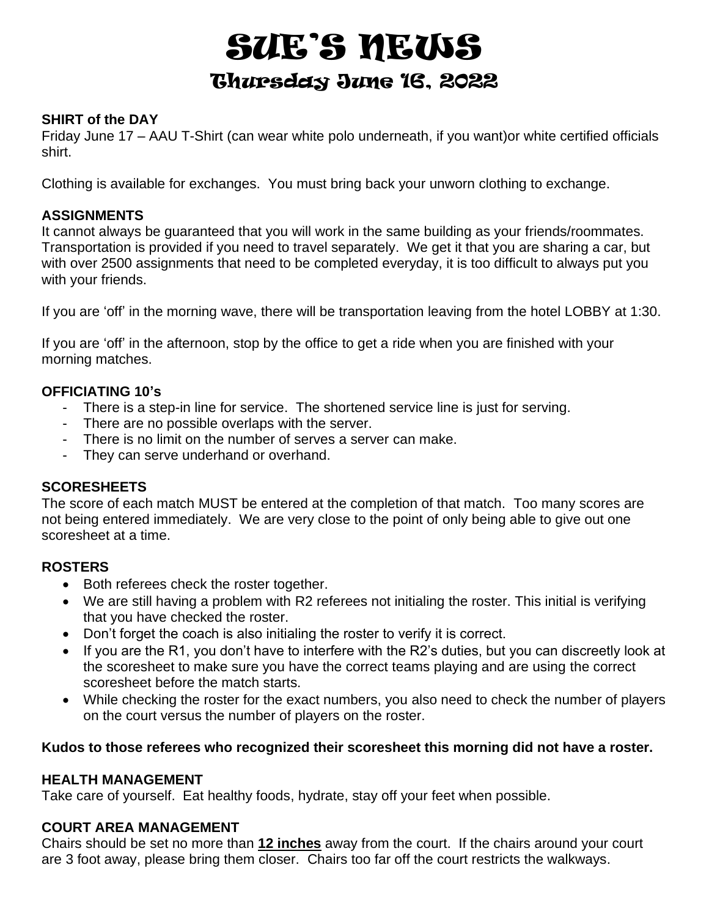# SUE'S NEWS Thursday June 16, 2022

# **SHIRT of the DAY**

Friday June 17 – AAU T-Shirt (can wear white polo underneath, if you want)or white certified officials shirt.

Clothing is available for exchanges. You must bring back your unworn clothing to exchange.

#### **ASSIGNMENTS**

It cannot always be guaranteed that you will work in the same building as your friends/roommates. Transportation is provided if you need to travel separately. We get it that you are sharing a car, but with over 2500 assignments that need to be completed everyday, it is too difficult to always put you with your friends.

If you are 'off' in the morning wave, there will be transportation leaving from the hotel LOBBY at 1:30.

If you are 'off' in the afternoon, stop by the office to get a ride when you are finished with your morning matches.

#### **OFFICIATING 10's**

- There is a step-in line for service. The shortened service line is just for serving.
- There are no possible overlaps with the server.
- There is no limit on the number of serves a server can make.
- They can serve underhand or overhand.

#### **SCORESHEETS**

The score of each match MUST be entered at the completion of that match. Too many scores are not being entered immediately. We are very close to the point of only being able to give out one scoresheet at a time.

# **ROSTERS**

- Both referees check the roster together.
- We are still having a problem with R2 referees not initialing the roster. This initial is verifying that you have checked the roster.
- Don't forget the coach is also initialing the roster to verify it is correct.
- If you are the R1, you don't have to interfere with the R2's duties, but you can discreetly look at the scoresheet to make sure you have the correct teams playing and are using the correct scoresheet before the match starts.
- While checking the roster for the exact numbers, you also need to check the number of players on the court versus the number of players on the roster.

#### **Kudos to those referees who recognized their scoresheet this morning did not have a roster.**

#### **HEALTH MANAGEMENT**

Take care of yourself. Eat healthy foods, hydrate, stay off your feet when possible.

#### **COURT AREA MANAGEMENT**

Chairs should be set no more than **12 inches** away from the court. If the chairs around your court are 3 foot away, please bring them closer. Chairs too far off the court restricts the walkways.